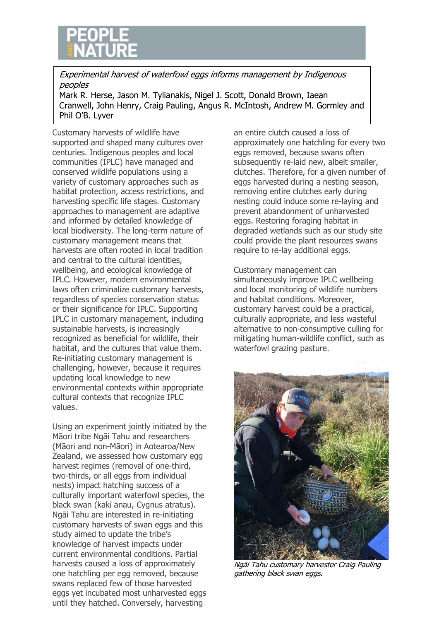

Experimental harvest of waterfowl eggs informs management by Indigenous peoples

Mark R. Herse, Jason M. Tylianakis, Nigel J. Scott, Donald Brown, Iaean Cranwell, John Henry, Craig Pauling, Angus R. McIntosh, Andrew M. Gormley and Phil O'B. Lyver

Customary harvests of wildlife have supported and shaped many cultures over centuries. Indigenous peoples and local communities (IPLC) have managed and conserved wildlife populations using a variety of customary approaches such as habitat protection, access restrictions, and harvesting specific life stages. Customary approaches to management are adaptive and informed by detailed knowledge of local biodiversity. The long-term nature of customary management means that harvests are often rooted in local tradition and central to the cultural identities, wellbeing, and ecological knowledge of IPLC. However, modern environmental laws often criminalize customary harvests, regardless of species conservation status or their significance for IPLC. Supporting IPLC in customary management, including sustainable harvests, is increasingly recognized as beneficial for wildlife, their habitat, and the cultures that value them. Re-initiating customary management is challenging, however, because it requires updating local knowledge to new environmental contexts within appropriate cultural contexts that recognize IPLC values.

Using an experiment jointly initiated by the Māori tribe Ngāi Tahu and researchers (Māori and non-Māori) in Aotearoa/New Zealand, we assessed how customary egg harvest regimes (removal of one-third, two-thirds, or all eggs from individual nests) impact hatching success of a culturally important waterfowl species, the black swan (kakī anau, Cygnus atratus). Ngāi Tahu are interested in re-initiating customary harvests of swan eggs and this study aimed to update the tribe's knowledge of harvest impacts under current environmental conditions. Partial harvests caused a loss of approximately one hatchling per egg removed, because swans replaced few of those harvested eggs yet incubated most unharvested eggs until they hatched. Conversely, harvesting

an entire clutch caused a loss of approximately one hatchling for every two eggs removed, because swans often subsequently re-laid new, albeit smaller, clutches. Therefore, for a given number of eggs harvested during a nesting season, removing entire clutches early during nesting could induce some re-laying and prevent abandonment of unharvested eggs. Restoring foraging habitat in degraded wetlands such as our study site could provide the plant resources swans require to re-lay additional eggs.

Customary management can simultaneously improve IPLC wellbeing and local monitoring of wildlife numbers and habitat conditions. Moreover, customary harvest could be a practical, culturally appropriate, and less wasteful alternative to non-consumptive culling for mitigating human-wildlife conflict, such as waterfowl grazing pasture.



Ngāi Tahu customary harvester Craig Pauling gathering black swan eggs.